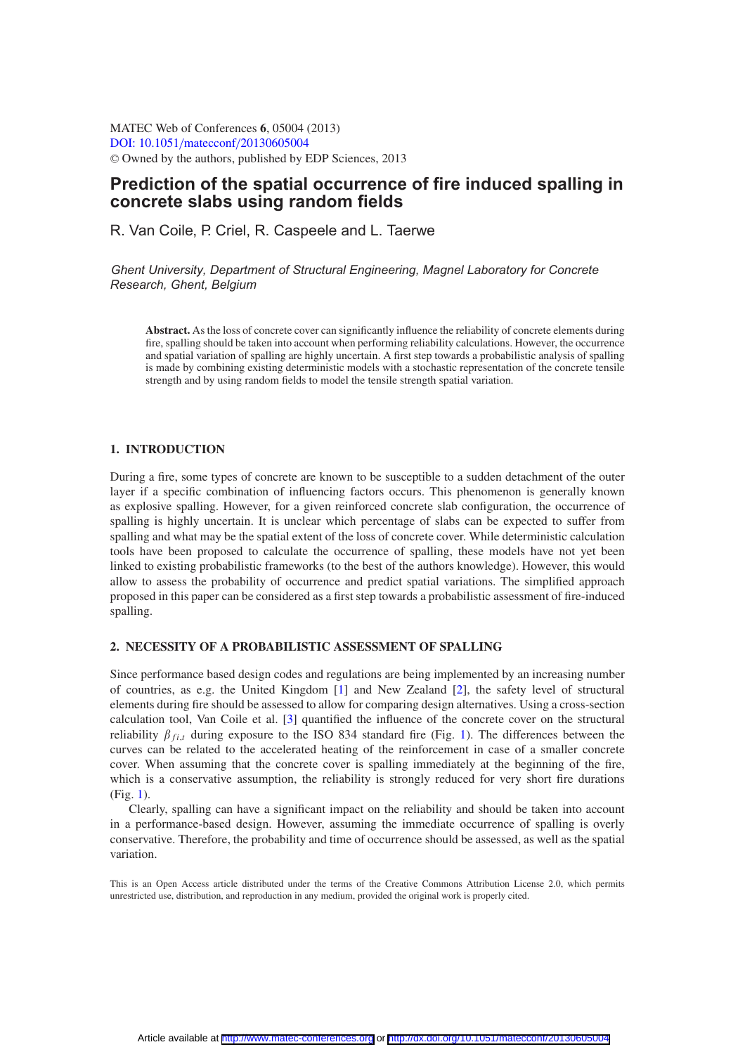MATEC Web of Conferences **6**, 05004 (2013) [DOI: 10.1051](http://dx.doi.org/10.1051/matecconf/20130605004)/matecconf/20130605004 <sup>C</sup> Owned by the authors, published by EDP Sciences, 2013

# **Prediction of the spatial occurrence of fire induced spalling in concrete slabs using random fields**

R. Van Coile, P. Criel, R. Caspeele and L. Taerwe

*Ghent University, Department of Structural Engineering, Magnel Laboratory for Concrete Research, Ghent, Belgium*

**Abstract.** As the loss of concrete cover can significantly influence the reliability of concrete elements during fire, spalling should be taken into account when performing reliability calculations. However, the occurrence and spatial variation of spalling are highly uncertain. A first step towards a probabilistic analysis of spalling is made by combining existing deterministic models with a stochastic representation of the concrete tensile strength and by using random fields to model the tensile strength spatial variation.

## **1. INTRODUCTION**

During a fire, some types of concrete are known to be susceptible to a sudden detachment of the outer layer if a specific combination of influencing factors occurs. This phenomenon is generally known as explosive spalling. However, for a given reinforced concrete slab configuration, the occurrence of spalling is highly uncertain. It is unclear which percentage of slabs can be expected to suffer from spalling and what may be the spatial extent of the loss of concrete cover. While deterministic calculation tools have been proposed to calculate the occurrence of spalling, these models have not yet been linked to existing probabilistic frameworks (to the best of the authors knowledge). However, this would allow to assess the probability of occurrence and predict spatial variations. The simplified approach proposed in this paper can be considered as a first step towards a probabilistic assessment of fire-induced spalling.

#### **2. NECESSITY OF A PROBABILISTIC ASSESSMENT OF SPALLING**

Since performance based design codes and regulations are being implemented by an increasing number of countries, as e.g. the United Kingdom [\[1\]](#page-5-0) and New Zealand [\[2\]](#page-5-1), the safety level of structural elements during fire should be assessed to allow for comparing design alternatives. Using a cross-section calculation tool, Van Coile et al. [\[3](#page-5-2)] quantified the influence of the concrete cover on the structural reliability  $\beta_{fit}$  during exposure to the ISO 834 standard fire (Fig. [1\)](#page-1-0). The differences between the curves can be related to the accelerated heating of the reinforcement in case of a smaller concrete cover. When assuming that the concrete cover is spalling immediately at the beginning of the fire, which is a conservative assumption, the reliability is strongly reduced for very short fire durations (Fig. [1\)](#page-1-0).

Clearly, spalling can have a significant impact on the reliability and should be taken into account in a performance-based design. However, assuming the immediate occurrence of spalling is overly conservative. Therefore, the probability and time of occurrence should be assessed, as well as the spatial variation.

This is an Open Access article distributed under the terms of the Creative Commons Attribution License 2.0, which permits unrestricted use, distribution, and reproduction in any medium, provided the original work is properly cited.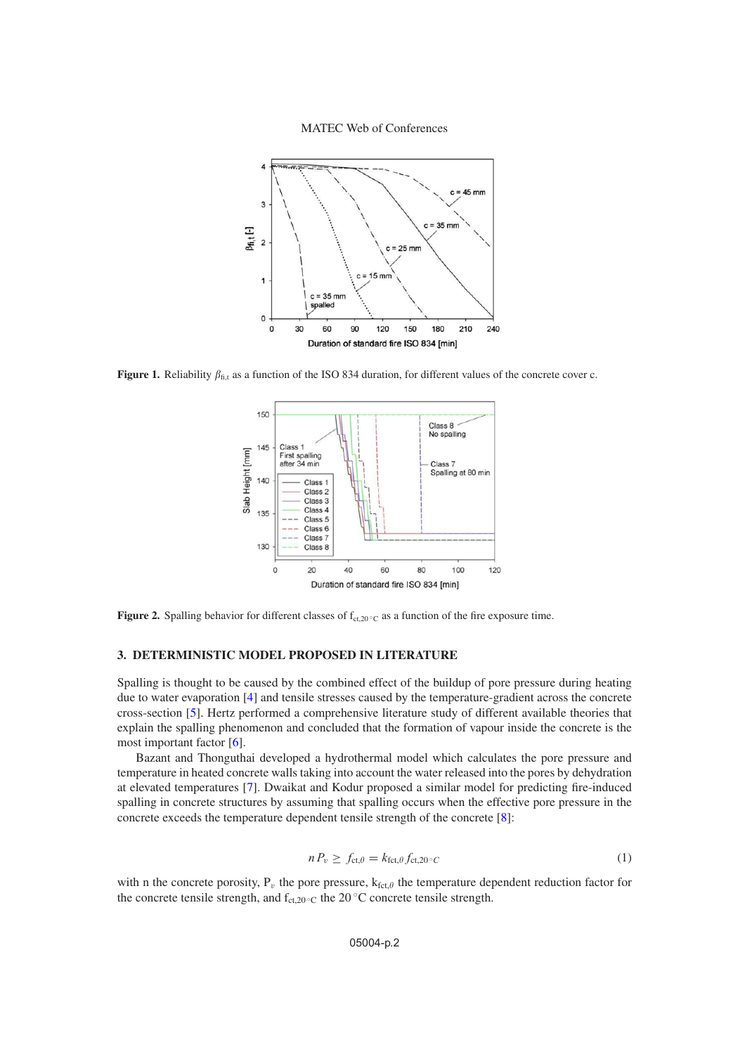MATEC Web of Conferences

<span id="page-1-0"></span>

<span id="page-1-1"></span>**Figure 1.** Reliability  $\beta_{\text{fi,t}}$  as a function of the ISO 834 duration, for different values of the concrete cover c.



**Figure 2.** Spalling behavior for different classes of  $f_{ct,20} \circ c$  as a function of the fire exposure time.

## **3. DETERMINISTIC MODEL PROPOSED IN LITERATURE**

Spalling is thought to be caused by the combined effect of the buildup of pore pressure during heating due to water evaporation [\[4](#page-5-3)] and tensile stresses caused by the temperature-gradient across the concrete cross-section [\[5\]](#page-5-4). Hertz performed a comprehensive literature study of different available theories that explain the spalling phenomenon and concluded that the formation of vapour inside the concrete is the most important factor [\[6\]](#page-5-5).

Bazant and Thonguthai developed a hydrothermal model which calculates the pore pressure and temperature in heated concrete walls taking into account the water released into the pores by dehydration at elevated temperatures [\[7](#page-5-6)]. Dwaikat and Kodur proposed a similar model for predicting fire-induced spalling in concrete structures by assuming that spalling occurs when the effective pore pressure in the concrete exceeds the temperature dependent tensile strength of the concrete [\[8\]](#page-5-7):

$$
n P_v \ge f_{\text{ct}, \theta} = k_{\text{fct}, \theta} f_{\text{ct}, 20^{\circ}C} \tag{1}
$$

with n the concrete porosity,  $P_v$  the pore pressure,  $k_{fct,\theta}$  the temperature dependent reduction factor for the concrete tensile strength, and  $f_{ct,20}$   $\circ$ c the 20  $\circ$ C concrete tensile strength.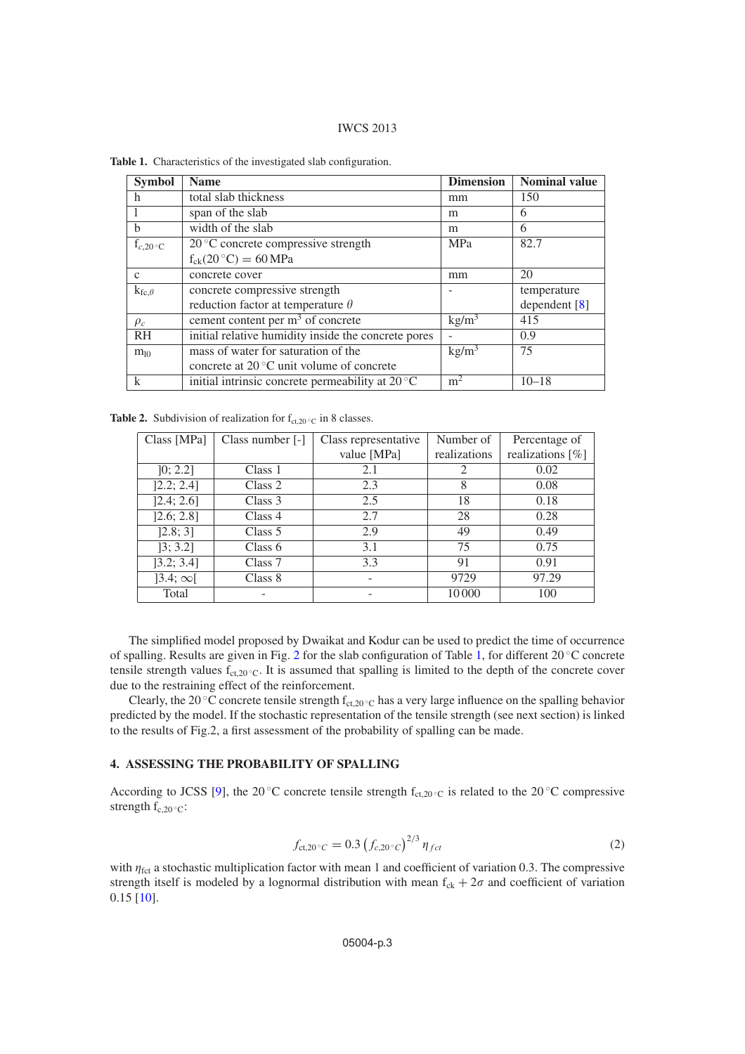#### IWCS 2013

| <b>Symbol</b>   | <b>Name</b>                                                | <b>Dimension</b>  | <b>Nominal value</b> |
|-----------------|------------------------------------------------------------|-------------------|----------------------|
| h               | total slab thickness<br>mm                                 |                   | 150                  |
|                 | span of the slab                                           | m                 | 6                    |
| b               | width of the slab                                          | m                 | 6                    |
| $f_{c,20}$ or   | $20^{\circ}$ C concrete compressive strength<br><b>MPa</b> |                   | 82.7                 |
|                 | $f_{ck}(20\degree C) = 60 \text{ MPa}$                     |                   |                      |
| $\mathcal{C}$   | concrete cover                                             | mm                | 20                   |
| $k_{fc,\theta}$ | concrete compressive strength                              |                   | temperature          |
|                 | reduction factor at temperature $\theta$                   |                   | dependent $[8]$      |
| $\rho_c$        | cement content per $m3$ of concrete                        | $\text{kg/m}^3$   | 415                  |
| <b>RH</b>       | initial relative humidity inside the concrete pores        |                   | 0.9                  |
| $m_{10}$        | mass of water for saturation of the                        | kg/m <sup>3</sup> | 75                   |
|                 | concrete at $20^{\circ}$ C unit volume of concrete         |                   |                      |
| $\mathbf k$     | initial intrinsic concrete permeability at $20^{\circ}$ C  | m <sup>2</sup>    | $10 - 18$            |

<span id="page-2-0"></span>**Table 1.** Characteristics of the investigated slab configuration.

<span id="page-2-1"></span>**Table 2.** Subdivision of realization for  $f_{ct,20 \degree C}$  in 8 classes.

| Class [MPa]    | Class number [-] | Class representative | Number of    | Percentage of    |
|----------------|------------------|----------------------|--------------|------------------|
|                |                  | value [MPa]          | realizations | realizations [%] |
| [0; 2.2]       | Class 1          | 2.1                  | 2            | 0.02             |
| [2.2; 2.4]     | Class 2          | 2.3                  | 8            | 0.08             |
| [2.4; 2.6]     | Class 3          | 2.5                  | 18           | 0.18             |
| [2.6; 2.8]     | Class 4          | 2.7                  | 28           | 0.28             |
| [2.8; 3]       | Class $5$        | 2.9                  | 49           | 0.49             |
| [3; 3.2]       | Class 6          | 3.1                  | 75           | 0.75             |
| [3.2; 3.4]     | Class 7          | 3.3                  | 91           | 0.91             |
| $]3.4;\infty[$ | Class 8          | -                    | 9729         | 97.29            |
| Total          |                  |                      | 10000        | 100              |

The simplified model proposed by Dwaikat and Kodur can be used to predict the time of occurrence of spalling. Results are given in Fig. [2](#page-1-1) for the slab configuration of Table [1,](#page-2-0) for different 20 ◦C concrete tensile strength values  $f_{ct,20}$   $\cdot$  C. It is assumed that spalling is limited to the depth of the concrete cover due to the restraining effect of the reinforcement.

Clearly, the 20 °C concrete tensile strength  $f_{ct,20}$  °C has a very large influence on the spalling behavior predicted by the model. If the stochastic representation of the tensile strength (see next section) is linked to the results of Fig.2, a first assessment of the probability of spalling can be made.

# **4. ASSESSING THE PROBABILITY OF SPALLING**

According to JCSS [\[9](#page-5-8)], the 20 °C concrete tensile strength  $f_{ct,20 \degree C}$  is related to the 20 °C compressive strength  $f_{c,20}$  ∘ $\rm_{C}$ :

$$
f_{\text{ct,20} \circ C} = 0.3 \left( f_{c,20 \circ C} \right)^{2/3} \eta_{fct} \tag{2}
$$

with  $\eta_{\text{fct}}$  a stochastic multiplication factor with mean 1 and coefficient of variation 0.3. The compressive strength itself is modeled by a lognormal distribution with mean  $f_{ck} + 2\sigma$  and coefficient of variation 0.15 [\[10](#page-5-9)].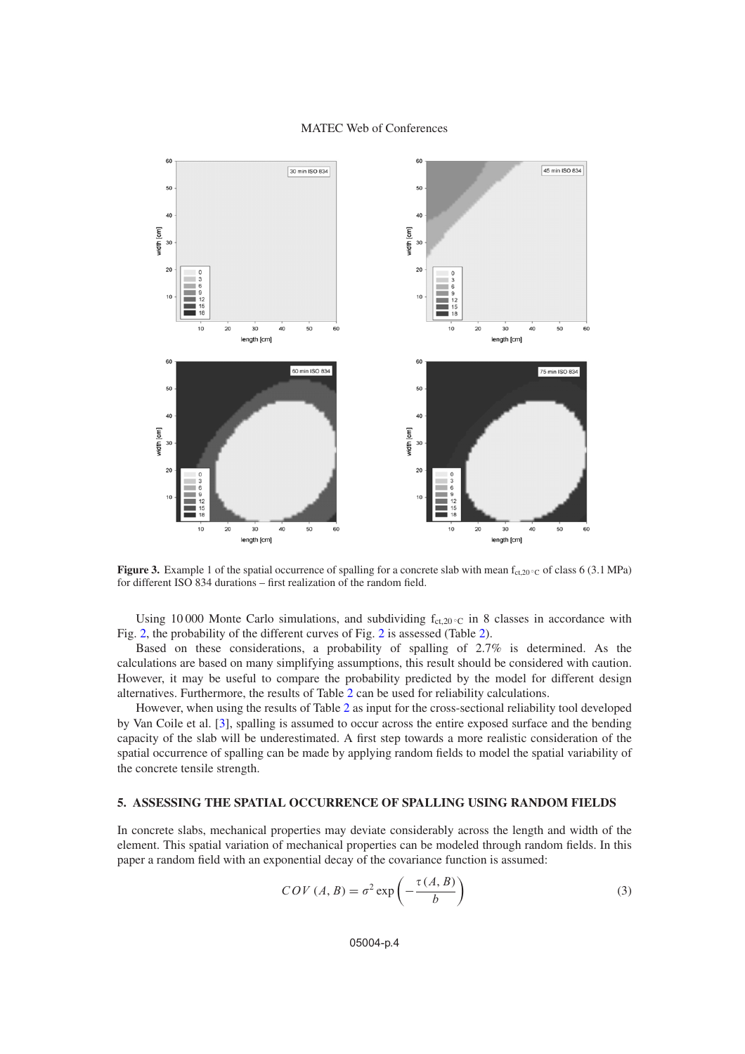#### MATEC Web of Conferences

<span id="page-3-0"></span>

**Figure 3.** Example 1 of the spatial occurrence of spalling for a concrete slab with mean  $f_{ct,20}$  °C of class 6 (3.1 MPa) for different ISO 834 durations – first realization of the random field.

Using 10000 Monte Carlo simulations, and subdividing  $f_{ct,20}$  °C in 8 classes in accordance with Fig. [2,](#page-1-1) the probability of the different curves of Fig. [2](#page-1-1) is assessed (Table [2\)](#page-2-1).

Based on these considerations, a probability of spalling of 2.7% is determined. As the calculations are based on many simplifying assumptions, this result should be considered with caution. However, it may be useful to compare the probability predicted by the model for different design alternatives. Furthermore, the results of Table [2](#page-2-1) can be used for reliability calculations.

However, when using the results of Table [2](#page-2-1) as input for the cross-sectional reliability tool developed by Van Coile et al. [\[3](#page-5-2)], spalling is assumed to occur across the entire exposed surface and the bending capacity of the slab will be underestimated. A first step towards a more realistic consideration of the spatial occurrence of spalling can be made by applying random fields to model the spatial variability of the concrete tensile strength.

# **5. ASSESSING THE SPATIAL OCCURRENCE OF SPALLING USING RANDOM FIELDS**

In concrete slabs, mechanical properties may deviate considerably across the length and width of the element. This spatial variation of mechanical properties can be modeled through random fields. In this paper a random field with an exponential decay of the covariance function is assumed:

$$
COV(A, B) = \sigma^2 \exp\left(-\frac{\tau(A, B)}{b}\right)
$$
 (3)

05004-p.4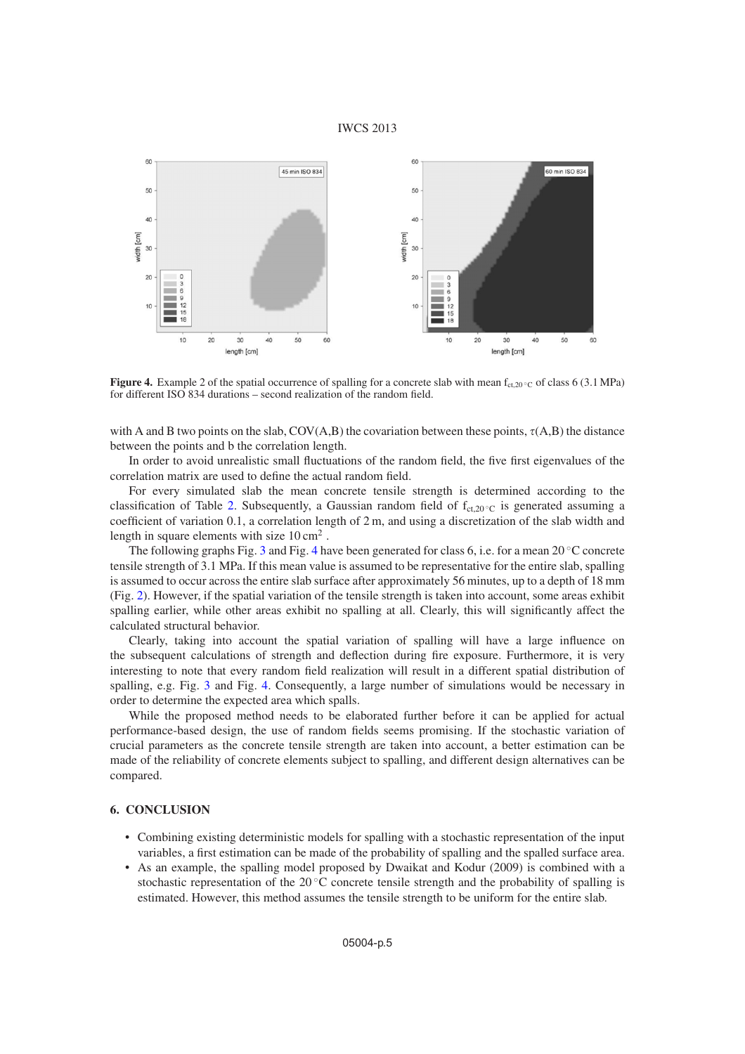#### IWCS 2013

<span id="page-4-0"></span>

**Figure 4.** Example 2 of the spatial occurrence of spalling for a concrete slab with mean  $f_{\text{ct,20} \, \text{°C}}$  of class 6 (3.1 MPa) for different ISO 834 durations – second realization of the random field.

with A and B two points on the slab, COV(A,B) the covariation between these points,  $\tau(A,B)$  the distance between the points and b the correlation length.

In order to avoid unrealistic small fluctuations of the random field, the five first eigenvalues of the correlation matrix are used to define the actual random field.

For every simulated slab the mean concrete tensile strength is determined according to the classification of Table [2.](#page-2-1) Subsequently, a Gaussian random field of  $f_{ct,20}$  or is generated assuming a coefficient of variation 0.1, a correlation length of 2 m, and using a discretization of the slab width and length in square elements with size  $10 \text{ cm}^2$ .

The following graphs Fig. [3](#page-3-0) and Fig. [4](#page-4-0) have been generated for class 6, i.e. for a mean 20  $\degree$ C concrete tensile strength of 3.1 MPa. If this mean value is assumed to be representative for the entire slab, spalling is assumed to occur across the entire slab surface after approximately 56 minutes, up to a depth of 18 mm (Fig. [2\)](#page-1-1). However, if the spatial variation of the tensile strength is taken into account, some areas exhibit spalling earlier, while other areas exhibit no spalling at all. Clearly, this will significantly affect the calculated structural behavior.

Clearly, taking into account the spatial variation of spalling will have a large influence on the subsequent calculations of strength and deflection during fire exposure. Furthermore, it is very interesting to note that every random field realization will result in a different spatial distribution of spalling, e.g. Fig. [3](#page-3-0) and Fig. [4.](#page-4-0) Consequently, a large number of simulations would be necessary in order to determine the expected area which spalls.

While the proposed method needs to be elaborated further before it can be applied for actual performance-based design, the use of random fields seems promising. If the stochastic variation of crucial parameters as the concrete tensile strength are taken into account, a better estimation can be made of the reliability of concrete elements subject to spalling, and different design alternatives can be compared.

## **6. CONCLUSION**

- Combining existing deterministic models for spalling with a stochastic representation of the input variables, a first estimation can be made of the probability of spalling and the spalled surface area.
- As an example, the spalling model proposed by Dwaikat and Kodur (2009) is combined with a stochastic representation of the 20 ◦C concrete tensile strength and the probability of spalling is estimated. However, this method assumes the tensile strength to be uniform for the entire slab.